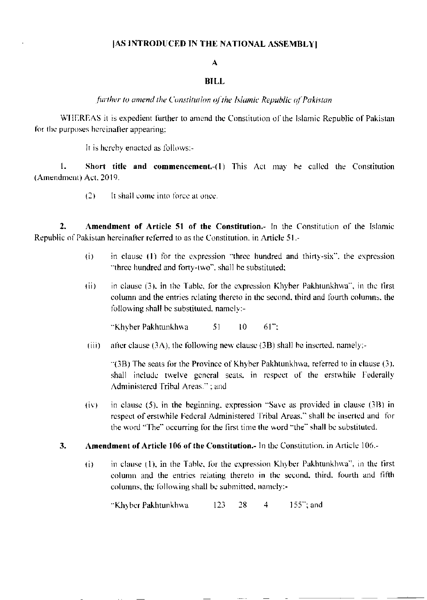## [AS INTRODUCED IN THE NATIONAL ASSEMBLY]

## $\mathbf{A}$

## **BILL**

further to amend the Constitution of the Islamic Republic of Pakistan

WHEREAS it is expedient further to amend the Constitution of the Islamic Republic of Pakistan for the purposes hereinafter appearing:

It is hereby enacted as follows:-

 $1.$ Short title and commencement.-(1) This Act may be called the Constitution (Amendment) Act, 2019.

> $(2)$ It shall come into force at once.

 $2<sub>1</sub>$ Amendment of Article 51 of the Constitution.- In the Constitution of the Islamic Republic of Pakistan hereinafter referred to as the Constitution, in Article 51.-

- $(i)$ in clause (1) for the expression "three hundred and thirty-six", the expression "three hundred and forty-two", shall be substituted;
- $(ii)$ in clause (3), in the Table, for the expression Khyber Pakhtunkhwa", in the first column and the entries relating thereto in the second, third and fourth columns, the following shall be substituted, namely:-

"Khyber Pakhtunkhwa 51  $10<sup>°</sup>$  $61$ ":

after clause  $(3A)$ , the following new clause  $(3B)$  shall be inserted, namely:- $(iii)$ 

 $\Gamma(3B)$  The seats for the Province of Khyber Pakhtunkhwa, referred to in clause (3). shall include twelve general seats, in respect of the erstwhile Federally Administered Tribal Areas.<sup>31</sup>: and

- in clause  $(5)$ , in the beginning, expression "Save as provided in clause  $(3B)$  in  $(iv)$ respect of erstwhile Federal Administered Tribal Areas," shall be inserted and for the word "The" occurring for the first time the word "the" shall be substituted.
- Amendment of Article 106 of the Constitution. In the Constitution, in Article 106.  $3<sub>1</sub>$ 
	- in clause (1), in the Table, for the expression Khyber Pakhtunkhwa", in the first  $\ddot{\mathbf{u}}$ column and the entries relating thereto in the second, third, fourth and fifth columns, the following shall be submitted, namely:-

"Khyber Pakhtunkhwa  $123$ 28  $\overline{4}$  $155$ ; and